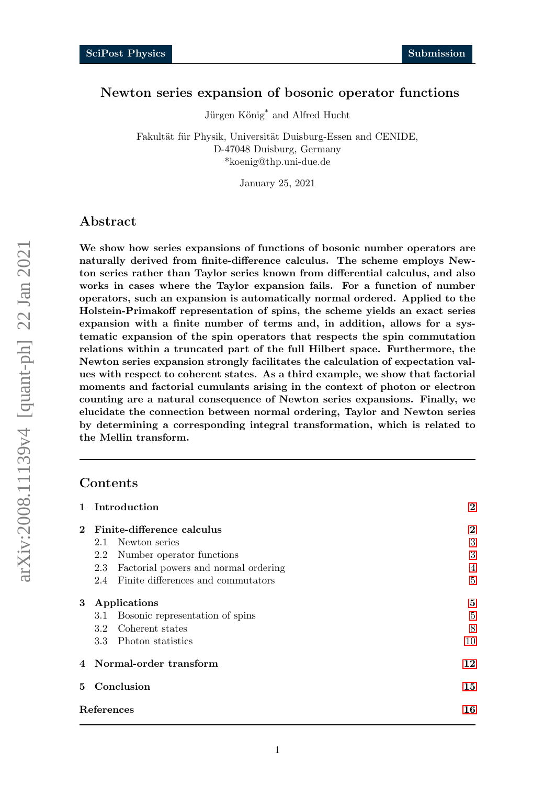# <span id="page-0-0"></span>Newton series expansion of bosonic operator functions

Jürgen König<sup>\*</sup> and Alfred Hucht

Fakultät für Physik, Universität Duisburg-Essen and CENIDE, D-47048 Duisburg, Germany \*koenig@thp.uni-due.de

January 25, 2021

# Abstract

We show how series expansions of functions of bosonic number operators are naturally derived from finite-difference calculus. The scheme employs Newton series rather than Taylor series known from differential calculus, and also works in cases where the Taylor expansion fails. For a function of number operators, such an expansion is automatically normal ordered. Applied to the Holstein-Primakoff representation of spins, the scheme yields an exact series expansion with a finite number of terms and, in addition, allows for a systematic expansion of the spin operators that respects the spin commutation relations within a truncated part of the full Hilbert space. Furthermore, the Newton series expansion strongly facilitates the calculation of expectation values with respect to coherent states. As a third example, we show that factorial moments and factorial cumulants arising in the context of photon or electron counting are a natural consequence of Newton series expansions. Finally, we elucidate the connection between normal ordering, Taylor and Newton series by determining a corresponding integral transformation, which is related to the Mellin transform.

### Contents

|          | 1 Introduction               | $\boldsymbol{2}$                     |                |
|----------|------------------------------|--------------------------------------|----------------|
|          | 2 Finite-difference calculus |                                      | $\overline{2}$ |
|          | Newton series<br>2.1         |                                      | 3              |
|          | $2.2\,$                      | Number operator functions            | 3              |
|          | 2.3                          | Factorial powers and normal ordering |                |
|          | 2.4                          | Finite differences and commutators   | $\overline{5}$ |
| $\bf{3}$ | Applications                 |                                      | 5              |
|          | $3.1\,$                      | Bosonic representation of spins      | $\overline{5}$ |
|          | $3.2\phantom{0}$             | Coherent states                      | 8              |
|          | 3.3 Photon statistics        |                                      | 10             |
|          | 4 Normal-order transform     |                                      | 12             |
|          | 5 Conclusion                 | 15                                   |                |
|          | References                   |                                      | 16             |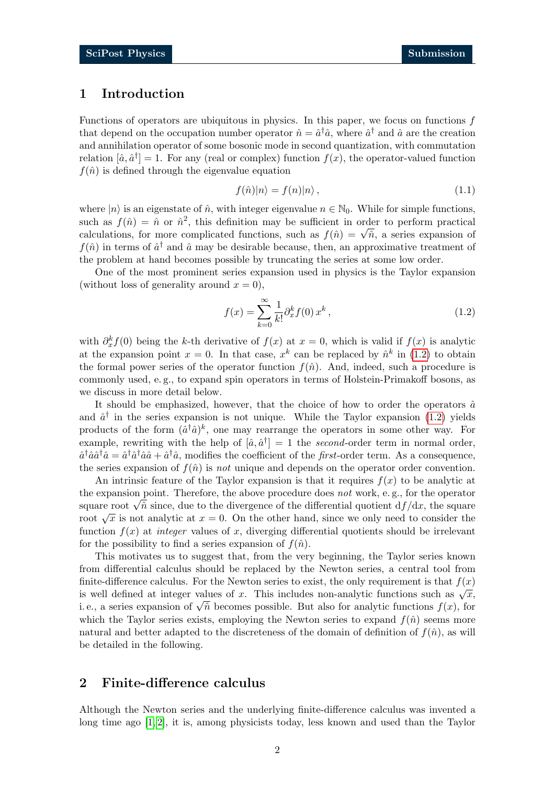### <span id="page-1-0"></span>1 Introduction

Functions of operators are ubiquitous in physics. In this paper, we focus on functions f that depend on the occupation number operator  $\hat{n} = \hat{a}^\dagger \hat{a}$ , where  $\hat{a}^\dagger$  and  $\hat{a}$  are the creation and annihilation operator of some bosonic mode in second quantization, with commutation relation  $[\hat{a}, \hat{a}^{\dagger}] = 1$ . For any (real or complex) function  $f(x)$ , the operator-valued function  $f(\hat{n})$  is defined through the eigenvalue equation

<span id="page-1-3"></span>
$$
f(\hat{n})|n\rangle = f(n)|n\rangle ,\qquad (1.1)
$$

where  $|n\rangle$  is an eigenstate of  $\hat{n}$ , with integer eigenvalue  $n \in \mathbb{N}_0$ . While for simple functions, such as  $f(\hat{n}) = \hat{n}$  or  $\hat{n}^2$ , this definition may be sufficient in order to perform practical such as  $f(n) = n$  or  $n^2$ , this definition may be summerted in order to perform practical calculations, for more complicated functions, such as  $f(\hat{n}) = \sqrt{\hat{n}}$ , a series expansion of  $f(\hat{n})$  in terms of  $\hat{a}^{\dagger}$  and  $\hat{a}$  may be desirable because, then, an approximative treatment of the problem at hand becomes possible by truncating the series at some low order.

One of the most prominent series expansion used in physics is the Taylor expansion (without loss of generality around  $x = 0$ ),

<span id="page-1-2"></span>
$$
f(x) = \sum_{k=0}^{\infty} \frac{1}{k!} \partial_x^k f(0) x^k,
$$
\n(1.2)

with  $\partial_x^k f(0)$  being the k-th derivative of  $f(x)$  at  $x = 0$ , which is valid if  $f(x)$  is analytic at the expansion point  $x = 0$ . In that case,  $x^k$  can be replaced by  $\hat{n}^k$  in [\(1.2\)](#page-1-2) to obtain the formal power series of the operator function  $f(\hat{n})$ . And, indeed, such a procedure is commonly used, e. g., to expand spin operators in terms of Holstein-Primakoff bosons, as we discuss in more detail below.

It should be emphasized, however, that the choice of how to order the operators  $\hat{a}$ and  $\hat{a}^{\dagger}$  in the series expansion is not unique. While the Taylor expansion [\(1.2\)](#page-1-2) yields products of the form  $(\hat{a}^{\dagger} \hat{a})^k$ , one may rearrange the operators in some other way. For example, rewriting with the help of  $[\hat{a}, \hat{a}^\dagger] = 1$  the second-order term in normal order,  $\hat{a}^\dagger \hat{a} \hat{a}^\dagger \hat{a} = \hat{a}^\dagger \hat{a}^\dagger \hat{a} \hat{a} + \hat{a}^\dagger \hat{a}$ , modifies the coefficient of the *first*-order term. As a consequence, the series expansion of  $f(\hat{n})$  is not unique and depends on the operator order convention.

An intrinsic feature of the Taylor expansion is that it requires  $f(x)$  to be analytic at the expansion point. Therefore, the above procedure does not work, e. g., for the operator the expansion point. Therefore, the above procedure does not work, e.g., for the operator square root  $\sqrt{\hat{n}}$  since, due to the divergence of the differential quotient  $df/dx$ , the square root  $\sqrt{x}$  is not analytic at  $x = 0$ . On the other hand, since we only need to consider the function  $f(x)$  at *integer* values of x, diverging differential quotients should be irrelevant for the possibility to find a series expansion of  $f(\hat{n})$ .

This motivates us to suggest that, from the very beginning, the Taylor series known from differential calculus should be replaced by the Newton series, a central tool from finite-difference calculus. For the Newton series to exist, the only requirement is that  $f(x)$ is well defined at integer values of x. This includes non-analytic functions such as  $\sqrt{x}$ , is well defined at integer values of x. This includes non-analytic functions such as  $\sqrt{x}$ , i.e., a series expansion of  $\sqrt{\hat{n}}$  becomes possible. But also for analytic functions  $f(x)$ , for which the Taylor series exists, employing the Newton series to expand  $f(\hat{n})$  seems more natural and better adapted to the discreteness of the domain of definition of  $f(\hat{n})$ , as will be detailed in the following.

### <span id="page-1-1"></span>2 Finite-difference calculus

Although the Newton series and the underlying finite-difference calculus was invented a long time ago [\[1,](#page-15-0) [2\]](#page-15-1), it is, among physicists today, less known and used than the Taylor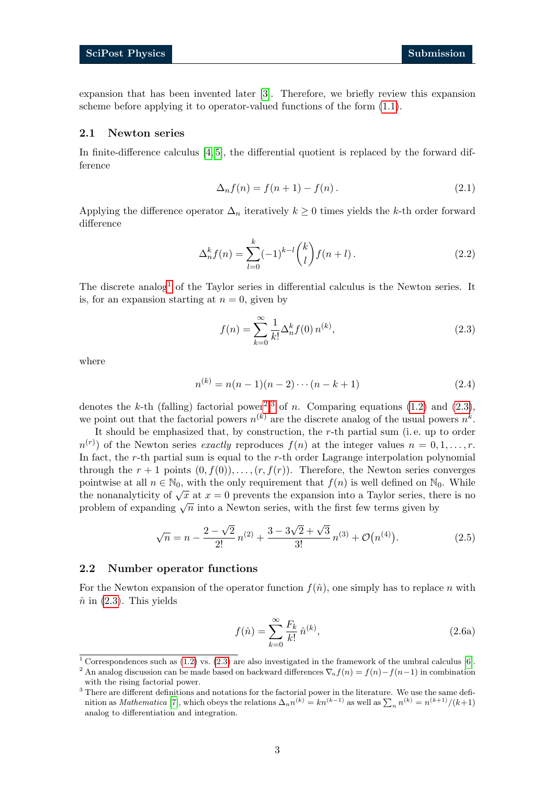expansion that has been invented later [\[3\]](#page-15-2). Therefore, we briefly review this expansion scheme before applying it to operator-valued functions of the form [\(1.1\)](#page-1-3).

#### <span id="page-2-0"></span>2.1 Newton series

In finite-difference calculus [\[4,](#page-15-3) [5\]](#page-15-4), the differential quotient is replaced by the forward difference

<span id="page-2-4"></span>
$$
\Delta_n f(n) = f(n+1) - f(n). \tag{2.1}
$$

Applying the difference operator  $\Delta_n$  iteratively  $k \geq 0$  times yields the k-th order forward difference

$$
\Delta_n^k f(n) = \sum_{l=0}^k (-1)^{k-l} \binom{k}{l} f(n+l).
$$
\n(2.2)

The discrete analog<sup>[1](#page-0-0)</sup> of the Taylor series in differential calculus is the Newton series. It is, for an expansion starting at  $n = 0$ , given by

<span id="page-2-2"></span>
$$
f(n) = \sum_{k=0}^{\infty} \frac{1}{k!} \Delta_n^k f(0) n^{(k)},
$$
\n(2.3)

where

$$
n^{(k)} = n(n-1)(n-2)\cdots(n-k+1)
$$
\n(2.4)

denotes the k-th (falling) factorial power<sup>[2](#page-0-0),[3](#page-0-0)</sup> of n. Comparing equations [\(1.2\)](#page-1-2) and [\(2.3\)](#page-2-2), we point out that the factorial powers  $n^{(k)}$  are the discrete analog of the usual powers  $n^k$ .

It should be emphasized that, by construction, the r-th partial sum (i. e. up to order  $n^{(r)}$  of the Newton series exactly reproduces  $f(n)$  at the integer values  $n = 0, 1, \ldots, r$ . In fact, the  $r$ -th partial sum is equal to the  $r$ -th order Lagrange interpolation polynomial through the  $r + 1$  points  $(0, f(0)), \ldots, (r, f(r))$ . Therefore, the Newton series converges pointwise at all  $n \in \mathbb{N}_0$ , with the only requirement that  $f(n)$  is well defined on  $\mathbb{N}_0$ . While pointwise at an  $n \in \mathbb{N}_0$ , with the only requirement that  $f(n)$  is wen defined on  $\mathbb{N}_0$ . While<br>the nonanalyticity of  $\sqrt{x}$  at  $x = 0$  prevents the expansion into a Taylor series, there is no problem of expanding  $\sqrt{n}$  into a Newton series, with the first few terms given by

$$
\sqrt{n} = n - \frac{2 - \sqrt{2}}{2!} n^{(2)} + \frac{3 - 3\sqrt{2} + \sqrt{3}}{3!} n^{(3)} + \mathcal{O}(n^{(4)}).
$$
 (2.5)

#### <span id="page-2-1"></span>2.2 Number operator functions

For the Newton expansion of the operator function  $f(\hat{n})$ , one simply has to replace n with  $\hat{n}$  in [\(2.3\)](#page-2-2). This yields

<span id="page-2-3"></span>
$$
f(\hat{n}) = \sum_{k=0}^{\infty} \frac{F_k}{k!} \,\hat{n}^{(k)},\tag{2.6a}
$$

<sup>1</sup> Correspondences such as [\(1.2\)](#page-1-2) vs. [\(2.3\)](#page-2-2) are also investigated in the framework of the umbral calculus [\[6\]](#page-15-5).

<sup>&</sup>lt;sup>2</sup> An analog discussion can be made based on backward differences  $\nabla_n f(n) = f(n) - f(n-1)$  in combination with the rising factorial power.

<sup>&</sup>lt;sup>3</sup> There are different definitions and notations for the factorial power in the literature. We use the same definition as *Mathematica* [\[7\]](#page-15-6), which obeys the relations  $\Delta_n n^{(k)} = kn^{(k-1)}$  as well as  $\sum_n n^{(k)} = n^{(k+1)}/(k+1)$ analog to differentiation and integration.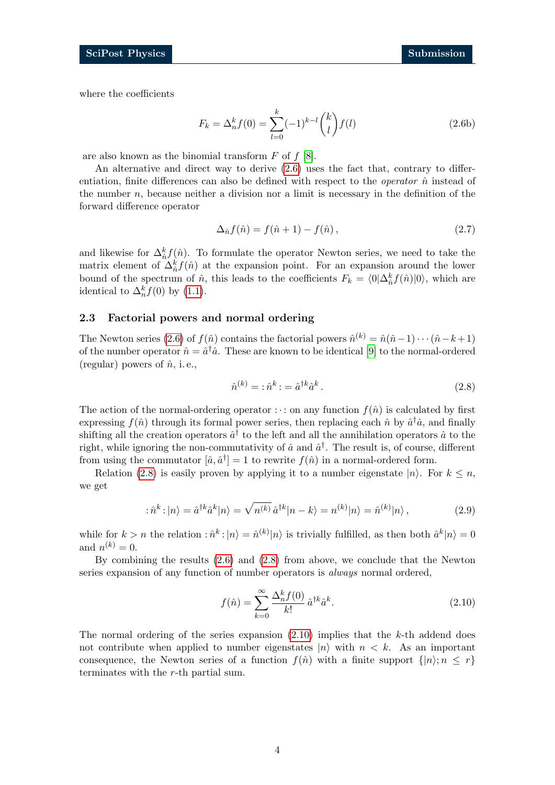where the coefficients

$$
F_k = \Delta_n^k f(0) = \sum_{l=0}^k (-1)^{k-l} \binom{k}{l} f(l)
$$
\n(2.6b)

are also known as the binomial transform  $F$  of  $f$  [\[8\]](#page-15-7).

An alternative and direct way to derive [\(2.6\)](#page-2-3) uses the fact that, contrary to differentiation, finite differences can also be defined with respect to the *operator*  $\hat{n}$  instead of the number  $n$ , because neither a division nor a limit is necessary in the definition of the forward difference operator

<span id="page-3-3"></span>
$$
\Delta_{\hat{n}}f(\hat{n}) = f(\hat{n} + 1) - f(\hat{n}), \qquad (2.7)
$$

and likewise for  $\Delta_{\hat{n}}^k f(\hat{n})$ . To formulate the operator Newton series, we need to take the matrix element of  $\Delta_{\hat{n}}^k f(\hat{n})$  at the expansion point. For an expansion around the lower bound of the spectrum of  $\hat{n}$ , this leads to the coefficients  $F_k = \langle 0 | \Delta^k_{\hat{n}} f(\hat{n}) | 0 \rangle$ , which are identical to  $\Delta_n^k f(0)$  by [\(1.1\)](#page-1-3).

#### <span id="page-3-0"></span>2.3 Factorial powers and normal ordering

The Newton series [\(2.6\)](#page-2-3) of  $f(\hat{n})$  contains the factorial powers  $\hat{n}^{(k)} = \hat{n}(\hat{n}-1)\cdots(\hat{n}-k+1)$ of the number operator  $\hat{n} = \hat{a}^{\dagger} \hat{a}$ . These are known to be identical [\[9\]](#page-15-8) to the normal-ordered (regular) powers of  $\hat{n}$ , i.e.,

<span id="page-3-1"></span>
$$
\hat{n}^{(k)} = \hat{n}^k \cdot \hat{a}^k \cdot \hat{a}^k \,. \tag{2.8}
$$

The action of the normal-ordering operator :  $\cdot$  : on any function  $f(\hat{n})$  is calculated by first expressing  $f(\hat{n})$  through its formal power series, then replacing each  $\hat{n}$  by  $\hat{a}^{\dagger} \hat{a}$ , and finally shifting all the creation operators  $\hat{a}^{\dagger}$  to the left and all the annihilation operators  $\hat{a}$  to the right, while ignoring the non-commutativity of  $\hat{a}$  and  $\hat{a}^{\dagger}$ . The result is, of course, different from using the commutator  $[\hat{a}, \hat{a}^\dagger] = 1$  to rewrite  $f(\hat{n})$  in a normal-ordered form.

Relation [\(2.8\)](#page-3-1) is easily proven by applying it to a number eigenstate  $|n\rangle$ . For  $k \leq n$ , we get

$$
\hat{n}^k : |n\rangle = \hat{a}^{\dagger k} \hat{a}^k |n\rangle = \sqrt{n^{(k)}} \, \hat{a}^{\dagger k} |n - k\rangle = n^{(k)} |n\rangle = \hat{n}^{(k)} |n\rangle \,, \tag{2.9}
$$

while for  $k > n$  the relation  $\hat{n}^k : |n\rangle = \hat{n}^{(k)}|n\rangle$  is trivially fulfilled, as then both  $\hat{a}^k |n\rangle = 0$ and  $n^{(k)} = 0$ .

By combining the results [\(2.6\)](#page-2-3) and [\(2.8\)](#page-3-1) from above, we conclude that the Newton series expansion of any function of number operators is *always* normal ordered,

<span id="page-3-2"></span>
$$
f(\hat{n}) = \sum_{k=0}^{\infty} \frac{\Delta_n^k f(0)}{k!} \hat{a}^{\dagger k} \hat{a}^k.
$$
 (2.10)

The normal ordering of the series expansion  $(2.10)$  implies that the k-th addend does not contribute when applied to number eigenstates  $|n\rangle$  with  $n < k$ . As an important consequence, the Newton series of a function  $f(\hat{n})$  with a finite support  $\{|n\rangle; n \leq r\}$ terminates with the r-th partial sum.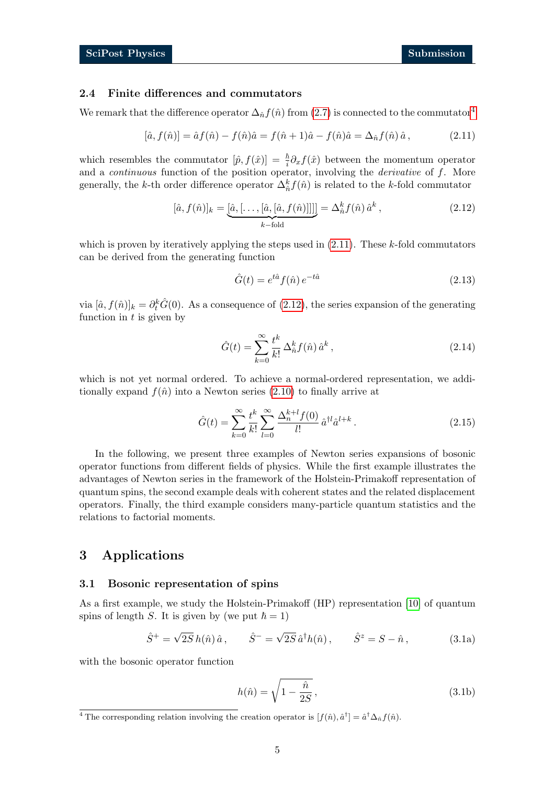#### <span id="page-4-0"></span>2.4 Finite differences and commutators

We remark that the difference operator  $\Delta_{\hat{n}} f(\hat{n})$  from [\(2.7\)](#page-3-3) is connected to the commutator<sup>[4](#page-0-0)</sup>

$$
[\hat{a}, f(\hat{n})] = \hat{a}f(\hat{n}) - f(\hat{n})\hat{a} = f(\hat{n} + 1)\hat{a} - f(\hat{n})\hat{a} = \Delta_{\hat{n}}f(\hat{n})\hat{a},
$$
\n(2.11)

which resembles the commutator  $[\hat{p}, f(\hat{x})] = \frac{\hbar}{i} \partial_x f(\hat{x})$  between the momentum operator and a *continuous* function of the position operator, involving the *derivative* of  $f$ . More generally, the k-th order difference operator  $\Delta_{\hat{n}}^k f(\hat{n})$  is related to the k-fold commutator

$$
[\hat{a}, f(\hat{n})]_k = \underbrace{[\hat{a}, [\dots, [\hat{a}, [\hat{a}, f(\hat{n})]]]]}_{k-\text{fold}} = \Delta_{\hat{n}}^k f(\hat{n}) \hat{a}^k ,
$$
\n(2.12)

which is proven by iteratively applying the steps used in  $(2.11)$ . These k-fold commutators can be derived from the generating function

<span id="page-4-4"></span><span id="page-4-3"></span>
$$
\hat{G}(t) = e^{t\hat{a}} f(\hat{n}) e^{-t\hat{a}} \tag{2.13}
$$

via  $[\hat{a}, f(\hat{n})]_k = \partial_t^k \hat{G}(0)$ . As a consequence of [\(2.12\)](#page-4-4), the series expansion of the generating function in  $t$  is given by

$$
\hat{G}(t) = \sum_{k=0}^{\infty} \frac{t^k}{k!} \Delta^k_{\hat{n}} f(\hat{n}) \hat{a}^k , \qquad (2.14)
$$

which is not yet normal ordered. To achieve a normal-ordered representation, we additionally expand  $f(\hat{n})$  into a Newton series [\(2.10\)](#page-3-2) to finally arrive at

$$
\hat{G}(t) = \sum_{k=0}^{\infty} \frac{t^k}{k!} \sum_{l=0}^{\infty} \frac{\Delta_n^{k+l} f(0)}{l!} \hat{a}^{l} \hat{a}^{l+k}.
$$
\n(2.15)

In the following, we present three examples of Newton series expansions of bosonic operator functions from different fields of physics. While the first example illustrates the advantages of Newton series in the framework of the Holstein-Primakoff representation of quantum spins, the second example deals with coherent states and the related displacement operators. Finally, the third example considers many-particle quantum statistics and the relations to factorial moments.

# <span id="page-4-1"></span>3 Applications

#### <span id="page-4-2"></span>3.1 Bosonic representation of spins

As a first example, we study the Holstein-Primakoff (HP) representation [\[10\]](#page-15-9) of quantum spins of length S. It is given by (we put  $\hbar = 1$ )

$$
\hat{S}^+ = \sqrt{2S} h(\hat{n}) \hat{a}, \qquad \hat{S}^- = \sqrt{2S} \hat{a}^\dagger h(\hat{n}), \qquad \hat{S}^z = S - \hat{n},
$$
\n(3.1a)

with the bosonic operator function

<span id="page-4-5"></span>
$$
h(\hat{n}) = \sqrt{1 - \frac{\hat{n}}{2S}},\tag{3.1b}
$$

<sup>&</sup>lt;sup>4</sup> The corresponding relation involving the creation operator is  $[f(\hat{n}), \hat{a}^\dagger] = \hat{a}^\dagger \Delta_{\hat{n}} f(\hat{n}).$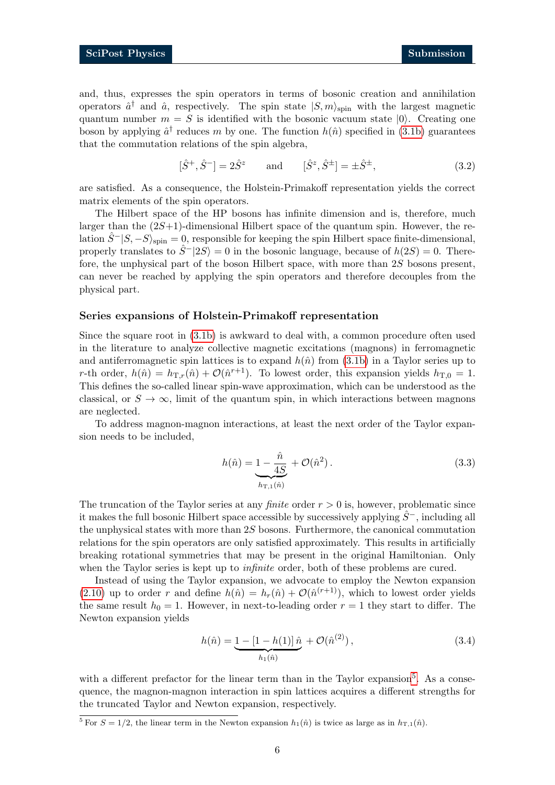and, thus, expresses the spin operators in terms of bosonic creation and annihilation operators  $\hat{a}^{\dagger}$  and  $\hat{a}$ , respectively. The spin state  $|S,m\rangle_{\text{spin}}$  with the largest magnetic quantum number  $m = S$  is identified with the bosonic vacuum state  $|0\rangle$ . Creating one boson by applying  $\hat{a}^{\dagger}$  reduces m by one. The function  $h(\hat{n})$  specified in [\(3.1b\)](#page-4-5) guarantees that the commutation relations of the spin algebra,

$$
[\hat{S}^+, \hat{S}^-] = 2\hat{S}^z
$$
 and  $[\hat{S}^z, \hat{S}^{\pm}] = \pm \hat{S}^{\pm},$  (3.2)

are satisfied. As a consequence, the Holstein-Primakoff representation yields the correct matrix elements of the spin operators.

The Hilbert space of the HP bosons has infinite dimension and is, therefore, much larger than the  $(2S+1)$ -dimensional Hilbert space of the quantum spin. However, the relation  $\hat{S}^{-}|S,-S\rangle_{\text{spin}}=0$ , responsible for keeping the spin Hilbert space finite-dimensional, properly translates to  $\hat{S}^{-}|2S\rangle = 0$  in the bosonic language, because of  $h(2S) = 0$ . Therefore, the unphysical part of the boson Hilbert space, with more than  $2S$  bosons present. can never be reached by applying the spin operators and therefore decouples from the physical part.

#### Series expansions of Holstein-Primakoff representation

Since the square root in [\(3.1b\)](#page-4-5) is awkward to deal with, a common procedure often used in the literature to analyze collective magnetic excitations (magnons) in ferromagnetic and antiferromagnetic spin lattices is to expand  $h(\hat{n})$  from [\(3.1b\)](#page-4-5) in a Taylor series up to r-th order,  $h(\hat{n}) = h_{\text{T},r}(\hat{n}) + \mathcal{O}(\hat{n}^{r+1})$ . To lowest order, this expansion yields  $h_{\text{T},0} = 1$ . This defines the so-called linear spin-wave approximation, which can be understood as the classical, or  $S \to \infty$ , limit of the quantum spin, in which interactions between magnons are neglected.

To address magnon-magnon interactions, at least the next order of the Taylor expansion needs to be included,

$$
h(\hat{n}) = \underbrace{1 - \frac{\hat{n}}{4S}}_{h_{\text{T},1}(\hat{n})} + \mathcal{O}(\hat{n}^2). \tag{3.3}
$$

The truncation of the Taylor series at any *finite* order  $r > 0$  is, however, problematic since it makes the full bosonic Hilbert space accessible by successively applying  $\hat{S}^-$ , including all the unphysical states with more than 2S bosons. Furthermore, the canonical commutation relations for the spin operators are only satisfied approximately. This results in artificially breaking rotational symmetries that may be present in the original Hamiltonian. Only when the Taylor series is kept up to *infinite* order, both of these problems are cured.

Instead of using the Taylor expansion, we advocate to employ the Newton expansion [\(2.10\)](#page-3-2) up to order r and define  $h(\hat{n}) = h_r(\hat{n}) + \mathcal{O}(\hat{n}^{(r+1)})$ , which to lowest order yields the same result  $h_0 = 1$ . However, in next-to-leading order  $r = 1$  they start to differ. The Newton expansion yields

$$
h(\hat{n}) = \underbrace{1 - [1 - h(1)] \,\hat{n}}_{h_1(\hat{n})} + \mathcal{O}(\hat{n}^{(2)})\,,\tag{3.4}
$$

with a different prefactor for the linear term than in the Taylor expansion<sup>[5](#page-0-0)</sup>. As a consequence, the magnon-magnon interaction in spin lattices acquires a different strengths for the truncated Taylor and Newton expansion, respectively.

 $\overline{5}$  For  $S = 1/2$ , the linear term in the Newton expansion  $h_1(\hat{n})$  is twice as large as in  $h_{\text{T},1}(\hat{n})$ .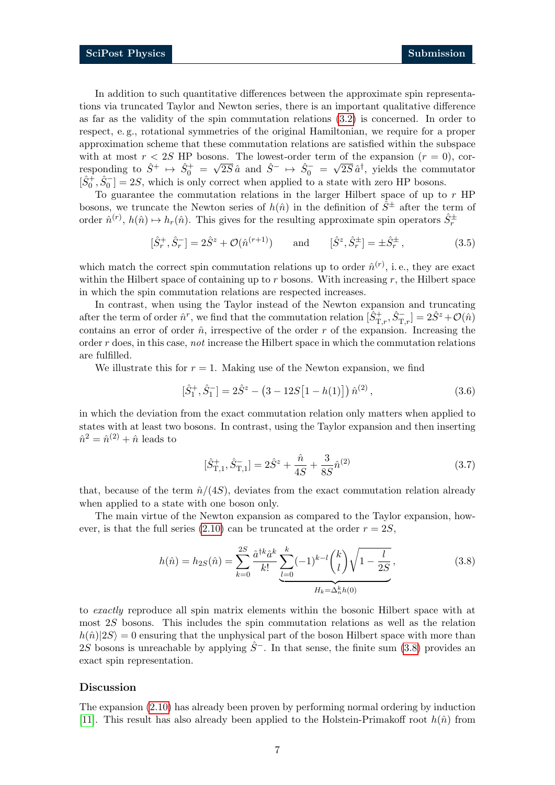In addition to such quantitative differences between the approximate spin representations via truncated Taylor and Newton series, there is an important qualitative difference as far as the validity of the spin commutation relations [\(3.2\)](#page-4-5) is concerned. In order to respect, e. g., rotational symmetries of the original Hamiltonian, we require for a proper approximation scheme that these commutation relations are satisfied within the subspace with at most  $r < 2S$  HP bosons. The lowest-order term of the expansion  $(r = 0)$ , corresponding to  $\hat{S}^+$   $\mapsto \hat{S}_0^+$  =  $\sqrt{2S} \hat{a}$  and  $\hat{S}^ \mapsto \hat{S}_0^-$  =  $\sqrt{2S} \hat{a}^{\dagger}$ , yields the commutator  $[\hat{S}_0^+, \hat{S}_0^-] = 2S$ , which is only correct when applied to a state with zero HP bosons.

To guarantee the commutation relations in the larger Hilbert space of up to  $r$  HP bosons, we truncate the Newton series of  $h(\hat{n})$  in the definition of  $\hat{S}^{\pm}$  after the term of order  $\hat{n}^{(r)}$ ,  $h(\hat{n}) \mapsto h_r(\hat{n})$ . This gives for the resulting approximate spin operators  $\hat{S}_r^{\pm}$ 

$$
[\hat{S}_r^+, \hat{S}_r^-] = 2\hat{S}^z + \mathcal{O}(\hat{n}^{(r+1)}) \quad \text{and} \quad [\hat{S}^z, \hat{S}_r^{\pm}] = \pm \hat{S}_r^{\pm} , \tag{3.5}
$$

which match the correct spin commutation relations up to order  $\hat{n}^{(r)}$ , i.e., they are exact within the Hilbert space of containing up to  $r$  bosons. With increasing  $r$ , the Hilbert space in which the spin commutation relations are respected increases.

In contrast, when using the Taylor instead of the Newton expansion and truncating after the term of order  $\hat{n}^r$ , we find that the commutation relation  $[\hat{S}_{T,r}^+,\hat{S}_{T,r}^-]=2\hat{S}^z+\mathcal{O}(\hat{n})$ contains an error of order  $\hat{n}$ , irrespective of the order r of the expansion. Increasing the order  $r$  does, in this case, *not* increase the Hilbert space in which the commutation relations are fulfilled.

We illustrate this for  $r = 1$ . Making use of the Newton expansion, we find

$$
[\hat{S}_1^+, \hat{S}_1^-] = 2\hat{S}^z - (3 - 12S[1 - h(1)]) \hat{n}^{(2)}, \qquad (3.6)
$$

in which the deviation from the exact commutation relation only matters when applied to states with at least two bosons. In contrast, using the Taylor expansion and then inserting  $\hat{n}^2 = \hat{n}^{(2)} + \hat{n}$  leads to

<span id="page-6-0"></span>
$$
[\hat{S}_{\mathrm{T},1}^{+}, \hat{S}_{\mathrm{T},1}^{-}] = 2\hat{S}^{z} + \frac{\hat{n}}{4S} + \frac{3}{8S}\hat{n}^{(2)}
$$
\n(3.7)

that, because of the term  $\hat{n}/(4S)$ , deviates from the exact commutation relation already when applied to a state with one boson only.

The main virtue of the Newton expansion as compared to the Taylor expansion, how-ever, is that the full series [\(2.10\)](#page-3-2) can be truncated at the order  $r = 2S$ .

$$
h(\hat{n}) = h_{2S}(\hat{n}) = \sum_{k=0}^{2S} \frac{\hat{a}^{\dagger k} \hat{a}^k}{k!} \underbrace{\sum_{l=0}^{k} (-1)^{k-l} \binom{k}{l} \sqrt{1 - \frac{l}{2S}}}_{H_k = \Delta_n^k h(0)},
$$
\n(3.8)

to exactly reproduce all spin matrix elements within the bosonic Hilbert space with at most 2S bosons. This includes the spin commutation relations as well as the relation  $h(\hat{n})|2S\rangle = 0$  ensuring that the unphysical part of the boson Hilbert space with more than 2S bosons is unreachable by applying  $\hat{S}^-$ . In that sense, the finite sum [\(3.8\)](#page-6-0) provides an exact spin representation.

#### Discussion

The expansion [\(2.10\)](#page-3-2) has already been proven by performing normal ordering by induction [\[11\]](#page-15-10). This result has also already been applied to the Holstein-Primakoff root  $h(\hat{n})$  from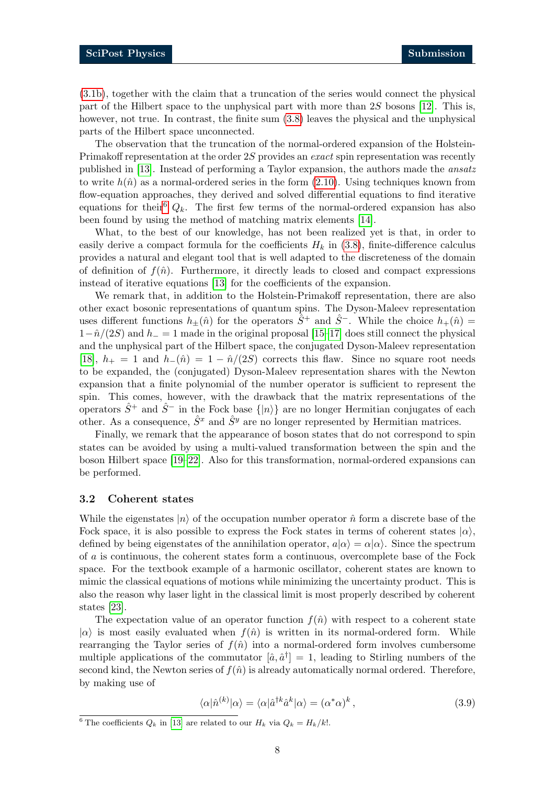[\(3.1b\)](#page-4-5), together with the claim that a truncation of the series would connect the physical part of the Hilbert space to the unphysical part with more than 2S bosons [\[12\]](#page-15-11). This is, however, not true. In contrast, the finite sum  $(3.8)$  leaves the physical and the unphysical parts of the Hilbert space unconnected.

The observation that the truncation of the normal-ordered expansion of the Holstein-Primakoff representation at the order 2S provides an exact spin representation was recently published in [\[13\]](#page-15-12). Instead of performing a Taylor expansion, the authors made the ansatz to write  $h(\hat{n})$  as a normal-ordered series in the form [\(2.10\)](#page-3-2). Using techniques known from flow-equation approaches, they derived and solved differential equations to find iterative equations for their<sup>[6](#page-0-0)</sup>  $Q_k$ . The first few terms of the normal-ordered expansion has also been found by using the method of matching matrix elements [\[14\]](#page-15-13).

What, to the best of our knowledge, has not been realized yet is that, in order to easily derive a compact formula for the coefficients  $H_k$  in [\(3.8\)](#page-6-0), finite-difference calculus provides a natural and elegant tool that is well adapted to the discreteness of the domain of definition of  $f(\hat{n})$ . Furthermore, it directly leads to closed and compact expressions instead of iterative equations [\[13\]](#page-15-12) for the coefficients of the expansion.

We remark that, in addition to the Holstein-Primakoff representation, there are also other exact bosonic representations of quantum spins. The Dyson-Maleev representation uses different functions  $h_{+}(\hat{n})$  for the operators  $\hat{S}^{+}$  and  $\hat{S}^{-}$ . While the choice  $h_{+}(\hat{n})=$  $1-\hat{n}/(2S)$  and  $h_-=1$  made in the original proposal [\[15](#page-15-14)[–17\]](#page-16-0) does still connect the physical and the unphysical part of the Hilbert space, the conjugated Dyson-Maleev representation [\[18\]](#page-16-1),  $h_+ = 1$  and  $h_-(\hat{n}) = 1 - \hat{n}/(2S)$  corrects this flaw. Since no square root needs to be expanded, the (conjugated) Dyson-Maleev representation shares with the Newton expansion that a finite polynomial of the number operator is sufficient to represent the spin. This comes, however, with the drawback that the matrix representations of the operators  $\hat{S}^+$  and  $\hat{S}^-$  in the Fock base  $\{|n\rangle\}$  are no longer Hermitian conjugates of each other. As a consequence,  $\hat{S}^x$  and  $\hat{S}^y$  are no longer represented by Hermitian matrices.

Finally, we remark that the appearance of boson states that do not correspond to spin states can be avoided by using a multi-valued transformation between the spin and the boson Hilbert space [\[19](#page-16-2)[–22\]](#page-16-3). Also for this transformation, normal-ordered expansions can be performed.

#### <span id="page-7-0"></span>3.2 Coherent states

While the eigenstates  $|n\rangle$  of the occupation number operator  $\hat{n}$  form a discrete base of the Fock space, it is also possible to express the Fock states in terms of coherent states  $|\alpha\rangle$ , defined by being eigenstates of the annihilation operator,  $a|\alpha\rangle = \alpha|\alpha\rangle$ . Since the spectrum of a is continuous, the coherent states form a continuous, overcomplete base of the Fock space. For the textbook example of a harmonic oscillator, coherent states are known to mimic the classical equations of motions while minimizing the uncertainty product. This is also the reason why laser light in the classical limit is most properly described by coherent states [\[23\]](#page-16-4).

The expectation value of an operator function  $f(\hat{n})$  with respect to a coherent state  $|\alpha\rangle$  is most easily evaluated when  $f(\hat{n})$  is written in its normal-ordered form. While rearranging the Taylor series of  $f(\hat{n})$  into a normal-ordered form involves cumbersome multiple applications of the commutator  $[\hat{a}, \hat{a}^{\dagger}] = 1$ , leading to Stirling numbers of the second kind, the Newton series of  $f(\hat{n})$  is already automatically normal ordered. Therefore, by making use of

$$
\langle \alpha | \hat{n}^{(k)} | \alpha \rangle = \langle \alpha | \hat{a}^{\dagger k} \hat{a}^{k} | \alpha \rangle = (\alpha^* \alpha)^k , \qquad (3.9)
$$

<sup>&</sup>lt;sup>6</sup> The coefficients  $Q_k$  in [\[13\]](#page-15-12) are related to our  $H_k$  via  $Q_k = H_k/k!$ .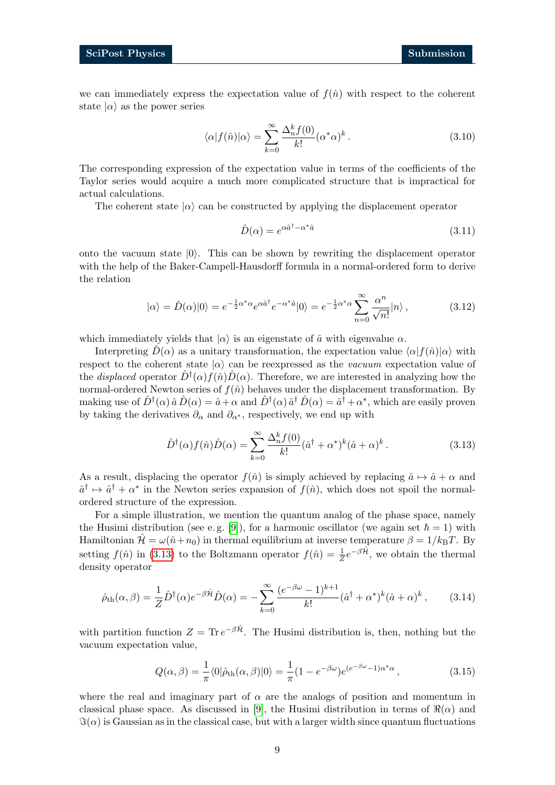we can immediately express the expectation value of  $f(\hat{n})$  with respect to the coherent state  $|\alpha\rangle$  as the power series

$$
\langle \alpha | f(\hat{n}) | \alpha \rangle = \sum_{k=0}^{\infty} \frac{\Delta_n^k f(0)}{k!} (\alpha^* \alpha)^k . \tag{3.10}
$$

The corresponding expression of the expectation value in terms of the coefficients of the Taylor series would acquire a much more complicated structure that is impractical for actual calculations.

The coherent state  $|\alpha\rangle$  can be constructed by applying the displacement operator

<span id="page-8-1"></span>
$$
\hat{D}(\alpha) = e^{\alpha \hat{a}^\dagger - \alpha^* \hat{a}} \tag{3.11}
$$

onto the vacuum state  $|0\rangle$ . This can be shown by rewriting the displacement operator with the help of the Baker-Campell-Hausdorff formula in a normal-ordered form to derive the relation

$$
|\alpha\rangle = \hat{D}(\alpha)|0\rangle = e^{-\frac{1}{2}\alpha^*\alpha}e^{\alpha\hat{a}^\dagger}e^{-\alpha^*\hat{a}}|0\rangle = e^{-\frac{1}{2}\alpha^*\alpha}\sum_{n=0}^{\infty}\frac{\alpha^n}{\sqrt{n!}}|n\rangle ,
$$
 (3.12)

which immediately yields that  $|\alpha\rangle$  is an eigenstate of  $\hat{a}$  with eigenvalue  $\alpha$ .

Interpreting  $\hat{D}(\alpha)$  as a unitary transformation, the expectation value  $\langle \alpha|f(\hat{n})|\alpha \rangle$  with respect to the coherent state  $|\alpha\rangle$  can be reexpressed as the *vacuum* expectation value of the *displaced* operator  $\hat{D}^{\dagger}(\alpha) f(\hat{n}) \hat{D}(\alpha)$ . Therefore, we are interested in analyzing how the normal-ordered Newton series of  $f(\hat{n})$  behaves under the displacement transformation. By making use of  $\hat{D}^{\dagger}(\alpha) \hat{a} \hat{D}(\alpha) = \hat{a} + \alpha$  and  $\hat{D}^{\dagger}(\alpha) \hat{a}^{\dagger} \hat{D}(\alpha) = \hat{a}^{\dagger} + \alpha^*$ , which are easily proven by taking the derivatives  $\partial_{\alpha}$  and  $\partial_{\alpha^*}$ , respectively, we end up with

<span id="page-8-0"></span>
$$
\hat{D}^{\dagger}(\alpha)f(\hat{n})\hat{D}(\alpha) = \sum_{k=0}^{\infty} \frac{\Delta_n^k f(0)}{k!} (\hat{a}^{\dagger} + \alpha^*)^k (\hat{a} + \alpha)^k.
$$
\n(3.13)

As a result, displacing the operator  $f(\hat{n})$  is simply achieved by replacing  $\hat{a} \mapsto \hat{a} + \alpha$  and  $\hat{a}^{\dagger} \mapsto \hat{a}^{\dagger} + \alpha^*$  in the Newton series expansion of  $f(\hat{n})$ , which does not spoil the normalordered structure of the expression.

For a simple illustration, we mention the quantum analog of the phase space, namely the Husimi distribution (see e.g. [\[9\]](#page-15-8)), for a harmonic oscillator (we again set  $\hbar = 1$ ) with Hamiltonian  $\mathcal{H} = \omega(\hat{n} + n_0)$  in thermal equilibrium at inverse temperature  $\beta = 1/k_BT$ . By setting  $f(\hat{n})$  in [\(3.13\)](#page-8-0) to the Boltzmann operator  $f(\hat{n}) = \frac{1}{Z}e^{-\beta \hat{\mathcal{H}}},$  we obtain the thermal density operator

$$
\hat{\rho}_{\text{th}}(\alpha,\beta) = \frac{1}{Z}\hat{D}^{\dagger}(\alpha)e^{-\beta\hat{\mathcal{H}}}\hat{D}(\alpha) = -\sum_{k=0}^{\infty}\frac{(e^{-\beta\omega}-1)^{k+1}}{k!}(\hat{a}^{\dagger}+\alpha^{*})^{k}(\hat{a}+\alpha)^{k},\tag{3.14}
$$

with partition function  $Z = \text{Tr} e^{-\beta \hat{\mathcal{H}}}$ . The Husimi distribution is, then, nothing but the vacuum expectation value,

<span id="page-8-2"></span>
$$
Q(\alpha, \beta) = \frac{1}{\pi} \langle 0 | \hat{\rho}_{\text{th}}(\alpha, \beta) | 0 \rangle = \frac{1}{\pi} (1 - e^{-\beta \omega}) e^{(e^{-\beta \omega} - 1)\alpha^* \alpha}, \qquad (3.15)
$$

where the real and imaginary part of  $\alpha$  are the analogs of position and momentum in classical phase space. As discussed in [\[9\]](#page-15-8), the Husimi distribution in terms of  $\Re(\alpha)$  and  $\Im(\alpha)$  is Gaussian as in the classical case, but with a larger width since quantum fluctuations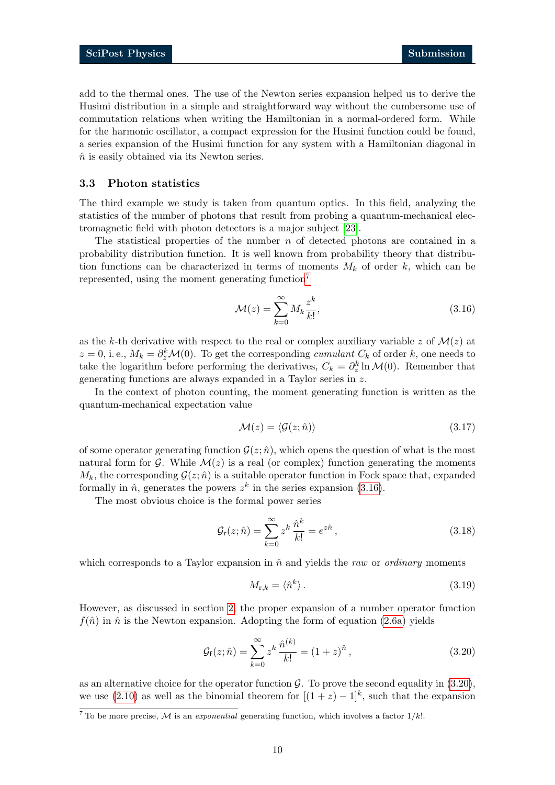add to the thermal ones. The use of the Newton series expansion helped us to derive the Husimi distribution in a simple and straightforward way without the cumbersome use of commutation relations when writing the Hamiltonian in a normal-ordered form. While for the harmonic oscillator, a compact expression for the Husimi function could be found, a series expansion of the Husimi function for any system with a Hamiltonian diagonal in  $\hat{n}$  is easily obtained via its Newton series.

#### <span id="page-9-0"></span>3.3 Photon statistics

The third example we study is taken from quantum optics. In this field, analyzing the statistics of the number of photons that result from probing a quantum-mechanical electromagnetic field with photon detectors is a major subject [\[23\]](#page-16-4).

The statistical properties of the number  $n$  of detected photons are contained in a probability distribution function. It is well known from probability theory that distribution functions can be characterized in terms of moments  $M_k$  of order k, which can be represented, using the moment generating function<sup>[7](#page-0-0)</sup>

<span id="page-9-1"></span>
$$
\mathcal{M}(z) = \sum_{k=0}^{\infty} M_k \frac{z^k}{k!},\tag{3.16}
$$

as the k-th derivative with respect to the real or complex auxiliary variable z of  $\mathcal{M}(z)$  at  $z = 0$ , i.e.,  $M_k = \partial_z^k \mathcal{M}(0)$ . To get the corresponding *cumulant*  $C_k$  of order k, one needs to take the logarithm before performing the derivatives,  $C_k = \partial_z^k \ln \mathcal{M}(0)$ . Remember that generating functions are always expanded in a Taylor series in z.

In the context of photon counting, the moment generating function is written as the quantum-mechanical expectation value

$$
\mathcal{M}(z) = \langle \mathcal{G}(z; \hat{n}) \rangle \tag{3.17}
$$

of some operator generating function  $\mathcal{G}(z; \hat{n})$ , which opens the question of what is the most natural form for  $\mathcal G$ . While  $\mathcal M(z)$  is a real (or complex) function generating the moments  $M_k$ , the corresponding  $G(z; \hat{n})$  is a suitable operator function in Fock space that, expanded formally in  $\hat{n}$ , generates the powers  $z^k$  in the series expansion [\(3.16\)](#page-9-1).

The most obvious choice is the formal power series

$$
\mathcal{G}_{\mathbf{r}}(z;\hat{n}) = \sum_{k=0}^{\infty} z^k \frac{\hat{n}^k}{k!} = e^{z\hat{n}},\tag{3.18}
$$

which corresponds to a Taylor expansion in  $\hat{n}$  and yields the raw or ordinary moments

<span id="page-9-4"></span><span id="page-9-3"></span><span id="page-9-2"></span>
$$
M_{\mathbf{r},k} = \langle \hat{n}^k \rangle. \tag{3.19}
$$

However, as discussed in section [2,](#page-1-1) the proper expansion of a number operator function  $f(\hat{n})$  in  $\hat{n}$  is the Newton expansion. Adopting the form of equation [\(2.6a\)](#page-2-4) yields

$$
\mathcal{G}_{\rm f}(z;\hat{n}) = \sum_{k=0}^{\infty} z^k \frac{\hat{n}^{(k)}}{k!} = (1+z)^{\hat{n}},\tag{3.20}
$$

as an alternative choice for the operator function  $\mathcal{G}$ . To prove the second equality in [\(3.20\)](#page-9-2), we use [\(2.10\)](#page-3-2) as well as the binomial theorem for  $[(1 + z) - 1]^k$ , such that the expansion

 $\frac{7}{7}$  To be more precise, M is an *exponential* generating function, which involves a factor  $1/k!$ .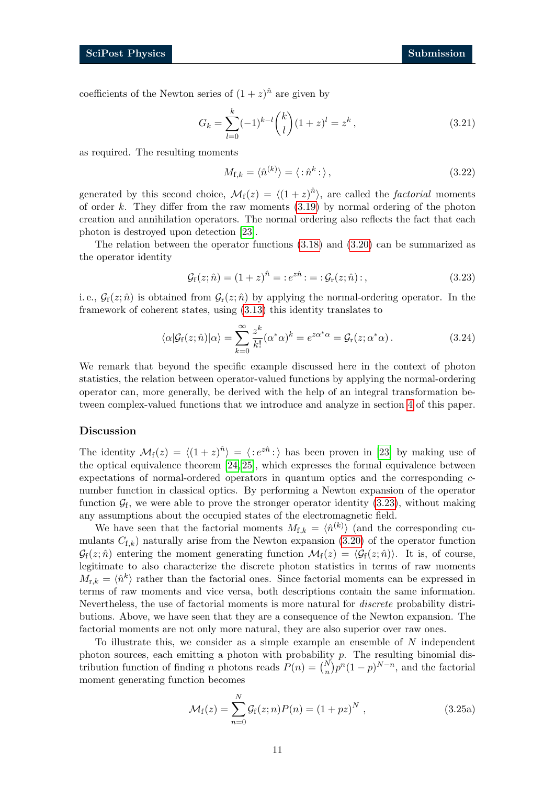coefficients of the Newton series of  $(1+z)^{\hat{n}}$  are given by

$$
G_k = \sum_{l=0}^{k} (-1)^{k-l} {k \choose l} (1+z)^l = z^k , \qquad (3.21)
$$

as required. The resulting moments

<span id="page-10-1"></span><span id="page-10-0"></span>
$$
M_{\mathbf{f},k} = \langle \hat{n}^{(k)} \rangle = \langle : \hat{n}^k : \rangle \,, \tag{3.22}
$$

generated by this second choice,  $\mathcal{M}_{f}(z) = \langle (1 + z)^{\hat{n}} \rangle$ , are called the *factorial* moments of order k. They differ from the raw moments  $(3.19)$  by normal ordering of the photon creation and annihilation operators. The normal ordering also reflects the fact that each photon is destroyed upon detection [\[23\]](#page-16-4).

The relation between the operator functions [\(3.18\)](#page-9-4) and [\(3.20\)](#page-9-2) can be summarized as the operator identity

<span id="page-10-2"></span>
$$
\mathcal{G}_{f}(z;\hat{n}) = (1+z)^{\hat{n}} = :e^{z\hat{n}}: = : \mathcal{G}_{r}(z;\hat{n}):,
$$
\n(3.23)

i.e.,  $\mathcal{G}_f(z; \hat{n})$  is obtained from  $\mathcal{G}_r(z; \hat{n})$  by applying the normal-ordering operator. In the framework of coherent states, using [\(3.13\)](#page-8-0) this identity translates to

$$
\langle \alpha | \mathcal{G}_{\rm f}(z; \hat{n}) | \alpha \rangle = \sum_{k=0}^{\infty} \frac{z^k}{k!} (\alpha^* \alpha)^k = e^{z \alpha^* \alpha} = \mathcal{G}_{\rm r}(z; \alpha^* \alpha). \tag{3.24}
$$

We remark that beyond the specific example discussed here in the context of photon statistics, the relation between operator-valued functions by applying the normal-ordering operator can, more generally, be derived with the help of an integral transformation between complex-valued functions that we introduce and analyze in section [4](#page-11-0) of this paper.

#### Discussion

The identity  $\mathcal{M}_f(z) = \langle (1 + z)^{\hat{n}} \rangle = \langle :e^{z\hat{n}}: \rangle$  has been proven in [\[23\]](#page-16-4) by making use of the optical equivalence theorem [\[24,](#page-16-5) [25\]](#page-16-6), which expresses the formal equivalence between expectations of normal-ordered operators in quantum optics and the corresponding cnumber function in classical optics. By performing a Newton expansion of the operator function  $\mathcal{G}_f$ , we were able to prove the stronger operator identity  $(3.23)$ , without making any assumptions about the occupied states of the electromagnetic field.

We have seen that the factorial moments  $M_{f,k} = \langle \hat{n}^{(k)} \rangle$  (and the corresponding cumulants  $C_{f,k}$ ) naturally arise from the Newton expansion [\(3.20\)](#page-9-2) of the operator function  $\mathcal{G}_f(z; \hat{n})$  entering the moment generating function  $\mathcal{M}_f(z) = \langle \mathcal{G}_f(z; \hat{n}) \rangle$ . It is, of course, legitimate to also characterize the discrete photon statistics in terms of raw moments  $M_{r,k} = \langle \hat{n}^k \rangle$  rather than the factorial ones. Since factorial moments can be expressed in terms of raw moments and vice versa, both descriptions contain the same information. Nevertheless, the use of factorial moments is more natural for discrete probability distributions. Above, we have seen that they are a consequence of the Newton expansion. The factorial moments are not only more natural, they are also superior over raw ones.

To illustrate this, we consider as a simple example an ensemble of  $N$  independent photon sources, each emitting a photon with probability  $p$ . The resulting binomial distribution function of finding *n* photons reads  $P(n) = {N \choose n} p^n (1-p)^{N-n}$ , and the factorial moment generating function becomes

$$
\mathcal{M}_{f}(z) = \sum_{n=0}^{N} \mathcal{G}_{f}(z; n) P(n) = (1 + pz)^{N} , \qquad (3.25a)
$$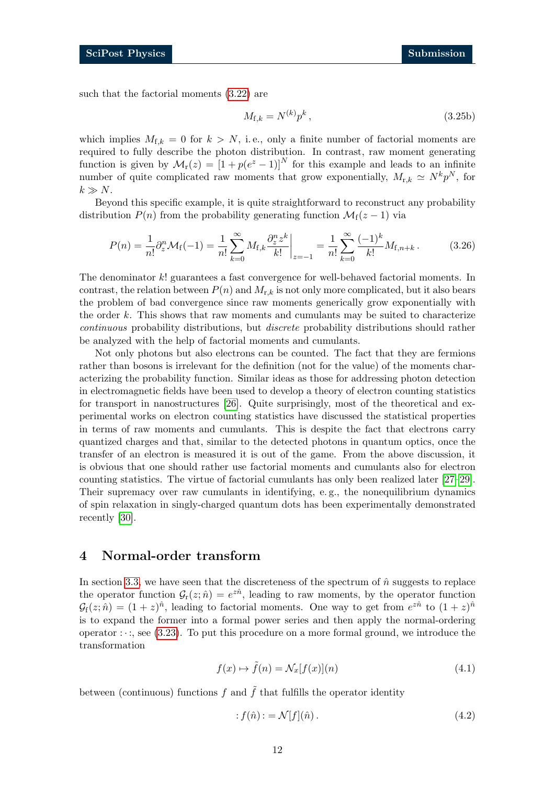such that the factorial moments [\(3.22\)](#page-10-1) are

$$
M_{\mathbf{f},k} = N^{(k)} p^k, \tag{3.25b}
$$

which implies  $M_{f,k} = 0$  for  $k > N$ , i.e., only a finite number of factorial moments are required to fully describe the photon distribution. In contrast, raw moment generating function is given by  $\mathcal{M}_r(z) = [1 + p(e^z - 1)]^N$  for this example and leads to an infinite number of quite complicated raw moments that grow exponentially,  $M_{r,k} \simeq N^k p^N$ , for  $k \gg N$ .

Beyond this specific example, it is quite straightforward to reconstruct any probability distribution  $P(n)$  from the probability generating function  $\mathcal{M}_f(z-1)$  via

$$
P(n) = \frac{1}{n!} \partial_z^n \mathcal{M}_{\rm f}(-1) = \frac{1}{n!} \sum_{k=0}^{\infty} M_{\rm f,k} \frac{\partial_z^n z^k}{k!} \bigg|_{z=-1} = \frac{1}{n!} \sum_{k=0}^{\infty} \frac{(-1)^k}{k!} M_{\rm f,n+k} \,. \tag{3.26}
$$

The denominator k! guarantees a fast convergence for well-behaved factorial moments. In contrast, the relation between  $P(n)$  and  $M_{r,k}$  is not only more complicated, but it also bears the problem of bad convergence since raw moments generically grow exponentially with the order  $k$ . This shows that raw moments and cumulants may be suited to characterize continuous probability distributions, but discrete probability distributions should rather be analyzed with the help of factorial moments and cumulants.

Not only photons but also electrons can be counted. The fact that they are fermions rather than bosons is irrelevant for the definition (not for the value) of the moments characterizing the probability function. Similar ideas as those for addressing photon detection in electromagnetic fields have been used to develop a theory of electron counting statistics for transport in nanostructures [\[26\]](#page-16-7). Quite surprisingly, most of the theoretical and experimental works on electron counting statistics have discussed the statistical properties in terms of raw moments and cumulants. This is despite the fact that electrons carry quantized charges and that, similar to the detected photons in quantum optics, once the transfer of an electron is measured it is out of the game. From the above discussion, it is obvious that one should rather use factorial moments and cumulants also for electron counting statistics. The virtue of factorial cumulants has only been realized later [\[27–](#page-16-8)[29\]](#page-16-9). Their supremacy over raw cumulants in identifying, e.g., the nonequilibrium dynamics of spin relaxation in singly-charged quantum dots has been experimentally demonstrated recently [\[30\]](#page-16-10).

### <span id="page-11-0"></span>4 Normal-order transform

In section [3.3,](#page-9-0) we have seen that the discreteness of the spectrum of  $\hat{n}$  suggests to replace the operator function  $\mathcal{G}_r(z;\hat{n}) = e^{z\hat{n}}$ , leading to raw moments, by the operator function  $\mathcal{G}_{f}(z;\hat{n}) = (1+z)^{\hat{n}}$ , leading to factorial moments. One way to get from  $e^{z\hat{n}}$  to  $(1+z)^{\hat{n}}$ is to expand the former into a formal power series and then apply the normal-ordering operator  $\cdots$ ; see [\(3.23\)](#page-10-0). To put this procedure on a more formal ground, we introduce the transformation

$$
f(x) \mapsto \tilde{f}(n) = \mathcal{N}_x[f(x)](n) \tag{4.1}
$$

between (continuous) functions f and  $\tilde{f}$  that fulfills the operator identity

<span id="page-11-1"></span>
$$
f(\hat{n}) = \mathcal{N}[f](\hat{n}). \tag{4.2}
$$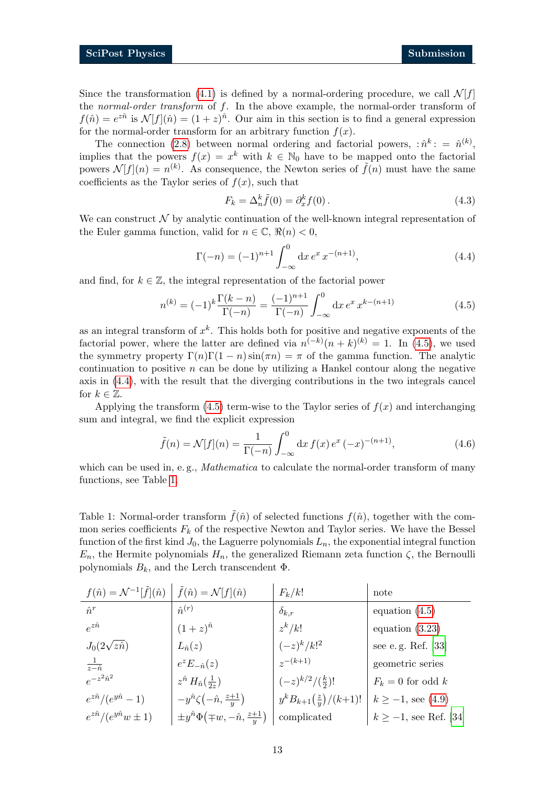Since the transformation [\(4.1\)](#page-11-1) is defined by a normal-ordering procedure, we call  $\mathcal{N}[f]$ the *normal-order transform* of  $f$ . In the above example, the normal-order transform of  $f(\hat{n}) = e^{i\hat{n}}$  is  $\mathcal{N}[f](\hat{n}) = (1+z)^{\hat{n}}$ . Our aim in this section is to find a general expression for the normal-order transform for an arbitrary function  $f(x)$ .

The connection [\(2.8\)](#page-3-1) between normal ordering and factorial powers,  $\hat{n}^k$ : =  $\hat{n}^{(k)}$ , implies that the powers  $f(x) = x^k$  with  $k \in \mathbb{N}_0$  have to be mapped onto the factorial powers  $\mathcal{N}[f](n) = n^{(k)}$ . As consequence, the Newton series of  $\tilde{f}(n)$  must have the same coefficients as the Taylor series of  $f(x)$ , such that

<span id="page-12-3"></span><span id="page-12-1"></span><span id="page-12-0"></span>
$$
F_k = \Delta_n^k \tilde{f}(0) = \partial_x^k f(0). \tag{4.3}
$$

We can construct  $\mathcal N$  by analytic continuation of the well-known integral representation of the Euler gamma function, valid for  $n \in \mathbb{C}$ ,  $\Re(n) < 0$ ,

$$
\Gamma(-n) = (-1)^{n+1} \int_{-\infty}^{0} dx \, e^x \, x^{-(n+1)},\tag{4.4}
$$

and find, for  $k \in \mathbb{Z}$ , the integral representation of the factorial power

$$
n^{(k)} = (-1)^k \frac{\Gamma(k-n)}{\Gamma(-n)} = \frac{(-1)^{n+1}}{\Gamma(-n)} \int_{-\infty}^0 dx \, e^x \, x^{k-(n+1)} \tag{4.5}
$$

as an integral transform of  $x^k$ . This holds both for positive and negative exponents of the factorial power, where the latter are defined via  $n^{(-k)}(n+k)^{(k)} = 1$ . In [\(4.5\)](#page-12-0), we used the symmetry property  $\Gamma(n)\Gamma(1-n)\sin(\pi n) = \pi$  of the gamma function. The analytic continuation to positive  $n$  can be done by utilizing a Hankel contour along the negative axis in [\(4.4\)](#page-12-1), with the result that the diverging contributions in the two integrals cancel for  $k \in \mathbb{Z}$ .

Applying the transform [\(4.5\)](#page-12-0) term-wise to the Taylor series of  $f(x)$  and interchanging sum and integral, we find the explicit expression

$$
\tilde{f}(n) = \mathcal{N}[f](n) = \frac{1}{\Gamma(-n)} \int_{-\infty}^{0} dx f(x) e^{x} (-x)^{-(n+1)},
$$
\n(4.6)

which can be used in, e.g., *Mathematica* to calculate the normal-order transform of many functions, see Table [1.](#page-12-2)

<span id="page-12-2"></span>Table 1: Normal-order transform  $\tilde{f}(\hat{n})$  of selected functions  $f(\hat{n})$ , together with the common series coefficients  $F_k$  of the respective Newton and Taylor series. We have the Bessel function of the first kind  $J_0$ , the Laguerre polynomials  $L_n$ , the exponential integral function  $E_n$ , the Hermite polynomials  $H_n$ , the generalized Riemann zeta function  $\zeta$ , the Bernoulli polynomials  $B_k$ , and the Lerch transcendent  $\Phi$ .

| $f(\hat{n}) = \mathcal{N}^{-1}[\tilde{f}](\hat{n}) \mid \tilde{f}(\hat{n}) = \mathcal{N}[f](\hat{n})$ |                                                  | $F_k/k!$                          | note                             |
|-------------------------------------------------------------------------------------------------------|--------------------------------------------------|-----------------------------------|----------------------------------|
| $\hat{n}^r$                                                                                           | $\hat{n}^{(r)}$                                  | $\delta_{k,r}$                    | equation $(4.5)$                 |
| $e^{z\hat{n}}$                                                                                        | $(1+z)^{\hat{n}}$                                | $z^k/k!$                          | equation $(3.23)$                |
| $J_0(2\sqrt{z}\hat{n})$                                                                               | $L_{\hat{n}}(z)$                                 | $(-z)^k/k!^2$                     | see e.g. Ref. $\left[ 33\right]$ |
| $rac{1}{z-\hat{n}}$                                                                                   | $e^z E_{-\hat{n}}(z)$                            | $z^{-(k+1)}$                      | geometric series                 |
| $e^{-z^2\hat{n}^2}$                                                                                   | $z^{\hat{n}} H_{\hat{n}}(\frac{1}{2z})$          | $(-z)^{k/2}/(\frac{k}{2})!$       | $F_k = 0$ for odd k              |
| $e^{z\hat{n}}/(e^{y\hat{n}}-1)$                                                                       | $-y^{\hat{n}}\zeta(-\hat{n}, \frac{z+1}{y})$     | $y^k B_{k+1}(\frac{z}{y})/(k+1)!$ | $k \ge -1$ , see (4.9)           |
| $e^{z\hat{n}}/(e^{y\hat{n}}w\pm 1)$                                                                   | $\pm y\hat{n}\Phi(\mp w,-\hat{n},\frac{z+1}{y})$ | complicated                       | $k \ge -1$ , see Ref. [34]       |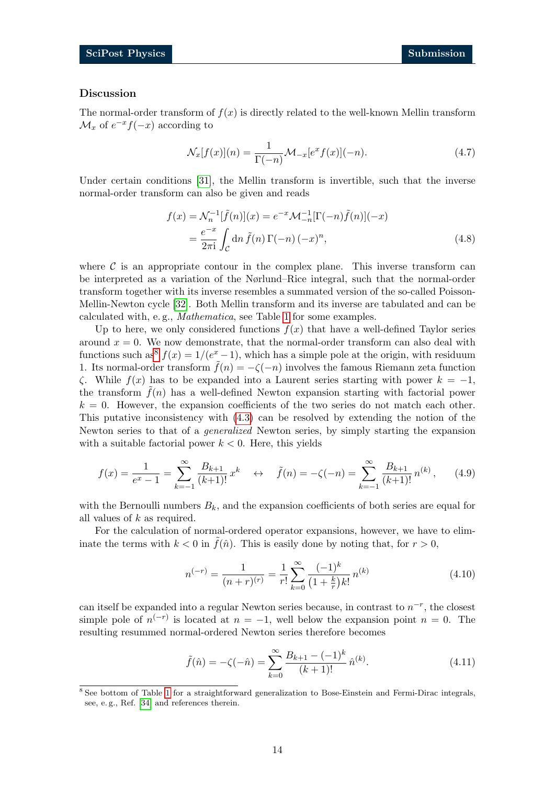#### Discussion

The normal-order transform of  $f(x)$  is directly related to the well-known Mellin transform  $\mathcal{M}_x$  of  $e^{-x}f(-x)$  according to

<span id="page-13-1"></span>
$$
\mathcal{N}_x[f(x)](n) = \frac{1}{\Gamma(-n)} \mathcal{M}_{-x}[e^x f(x)](-n). \tag{4.7}
$$

Under certain conditions [\[31\]](#page-16-11), the Mellin transform is invertible, such that the inverse normal-order transform can also be given and reads

$$
f(x) = \mathcal{N}_n^{-1}[\tilde{f}(n)](x) = e^{-x} \mathcal{M}_{-n}^{-1}[\Gamma(-n)\tilde{f}(n)](-x)
$$
  
= 
$$
\frac{e^{-x}}{2\pi i} \int_C \mathrm{d}n \,\tilde{f}(n) \,\Gamma(-n) (-x)^n,
$$
 (4.8)

where  $\mathcal C$  is an appropriate contour in the complex plane. This inverse transform can be interpreted as a variation of the Nørlund–Rice integral, such that the normal-order transform together with its inverse resembles a summated version of the so-called Poisson-Mellin-Newton cycle [\[32\]](#page-17-2). Both Mellin transform and its inverse are tabulated and can be calculated with, e. g., Mathematica, see Table [1](#page-12-2) for some examples.

Up to here, we only considered functions  $f(x)$  that have a well-defined Taylor series around  $x = 0$ . We now demonstrate, that the normal-order transform can also deal with functions such as<sup>[8](#page-0-0)</sup>  $f(x) = 1/(e^x - 1)$ , which has a simple pole at the origin, with residuum 1. Its normal-order transform  $f(n) = -\zeta(-n)$  involves the famous Riemann zeta function  $\zeta$ . While  $f(x)$  has to be expanded into a Laurent series starting with power  $k = -1$ , the transform  $\tilde{f}(n)$  has a well-defined Newton expansion starting with factorial power  $k = 0$ . However, the expansion coefficients of the two series do not match each other. This putative inconsistency with [\(4.3\)](#page-12-3) can be resolved by extending the notion of the Newton series to that of a generalized Newton series, by simply starting the expansion with a suitable factorial power  $k < 0$ . Here, this yields

$$
f(x) = \frac{1}{e^x - 1} = \sum_{k=-1}^{\infty} \frac{B_{k+1}}{(k+1)!} x^k \quad \leftrightarrow \quad \tilde{f}(n) = -\zeta(-n) = \sum_{k=-1}^{\infty} \frac{B_{k+1}}{(k+1)!} n^{(k)},\tag{4.9}
$$

with the Bernoulli numbers  $B_k$ , and the expansion coefficients of both series are equal for all values of k as required.

For the calculation of normal-ordered operator expansions, however, we have to eliminate the terms with  $k < 0$  in  $\tilde{f}(\hat{n})$ . This is easily done by noting that, for  $r > 0$ ,

<span id="page-13-0"></span>
$$
n^{(-r)} = \frac{1}{(n+r)^{(r)}} = \frac{1}{r!} \sum_{k=0}^{\infty} \frac{(-1)^k}{(1+\frac{k}{r})k!} n^{(k)} \tag{4.10}
$$

can itself be expanded into a regular Newton series because, in contrast to  $n^{-r}$ , the closest simple pole of  $n^{(-r)}$  is located at  $n = -1$ , well below the expansion point  $n = 0$ . The resulting resummed normal-ordered Newton series therefore becomes

$$
\tilde{f}(\hat{n}) = -\zeta(-\hat{n}) = \sum_{k=0}^{\infty} \frac{B_{k+1} - (-1)^k}{(k+1)!} \hat{n}^{(k)}.
$$
\n(4.11)

<sup>8</sup> See bottom of Table [1](#page-12-2) for a straightforward generalization to Bose-Einstein and Fermi-Dirac integrals, see, e. g., Ref. [\[34\]](#page-17-1) and references therein.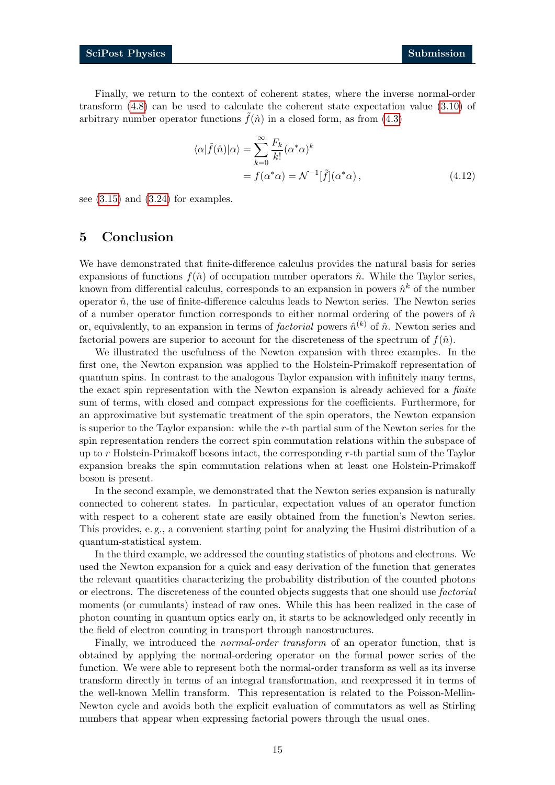Finally, we return to the context of coherent states, where the inverse normal-order transform [\(4.8\)](#page-13-1) can be used to calculate the coherent state expectation value [\(3.10\)](#page-8-1) of arbitrary number operator functions  $\tilde{f}(\hat{n})$  in a closed form, as from [\(4.3\)](#page-12-3)

$$
\langle \alpha | \tilde{f}(\hat{n}) | \alpha \rangle = \sum_{k=0}^{\infty} \frac{F_k}{k!} (\alpha^* \alpha)^k
$$
  
=  $f(\alpha^* \alpha) = \mathcal{N}^{-1}[\tilde{f}](\alpha^* \alpha),$  (4.12)

see  $(3.15)$  and  $(3.24)$  for examples.

### <span id="page-14-0"></span>5 Conclusion

We have demonstrated that finite-difference calculus provides the natural basis for series expansions of functions  $f(\hat{n})$  of occupation number operators  $\hat{n}$ . While the Taylor series, known from differential calculus, corresponds to an expansion in powers  $\hat{n}^k$  of the number operator  $\hat{n}$ , the use of finite-difference calculus leads to Newton series. The Newton series of a number operator function corresponds to either normal ordering of the powers of  $\hat{n}$ or, equivalently, to an expansion in terms of *factorial* powers  $\hat{n}^{(k)}$  of  $\hat{n}$ . Newton series and factorial powers are superior to account for the discreteness of the spectrum of  $f(\hat{n})$ .

We illustrated the usefulness of the Newton expansion with three examples. In the first one, the Newton expansion was applied to the Holstein-Primakoff representation of quantum spins. In contrast to the analogous Taylor expansion with infinitely many terms, the exact spin representation with the Newton expansion is already achieved for a finite sum of terms, with closed and compact expressions for the coefficients. Furthermore, for an approximative but systematic treatment of the spin operators, the Newton expansion is superior to the Taylor expansion: while the r-th partial sum of the Newton series for the spin representation renders the correct spin commutation relations within the subspace of up to  $r$  Holstein-Primakoff bosons intact, the corresponding  $r$ -th partial sum of the Taylor expansion breaks the spin commutation relations when at least one Holstein-Primakoff boson is present.

In the second example, we demonstrated that the Newton series expansion is naturally connected to coherent states. In particular, expectation values of an operator function with respect to a coherent state are easily obtained from the function's Newton series. This provides, e. g., a convenient starting point for analyzing the Husimi distribution of a quantum-statistical system.

In the third example, we addressed the counting statistics of photons and electrons. We used the Newton expansion for a quick and easy derivation of the function that generates the relevant quantities characterizing the probability distribution of the counted photons or electrons. The discreteness of the counted objects suggests that one should use *factorial* moments (or cumulants) instead of raw ones. While this has been realized in the case of photon counting in quantum optics early on, it starts to be acknowledged only recently in the field of electron counting in transport through nanostructures.

Finally, we introduced the *normal-order transform* of an operator function, that is obtained by applying the normal-ordering operator on the formal power series of the function. We were able to represent both the normal-order transform as well as its inverse transform directly in terms of an integral transformation, and reexpressed it in terms of the well-known Mellin transform. This representation is related to the Poisson-Mellin-Newton cycle and avoids both the explicit evaluation of commutators as well as Stirling numbers that appear when expressing factorial powers through the usual ones.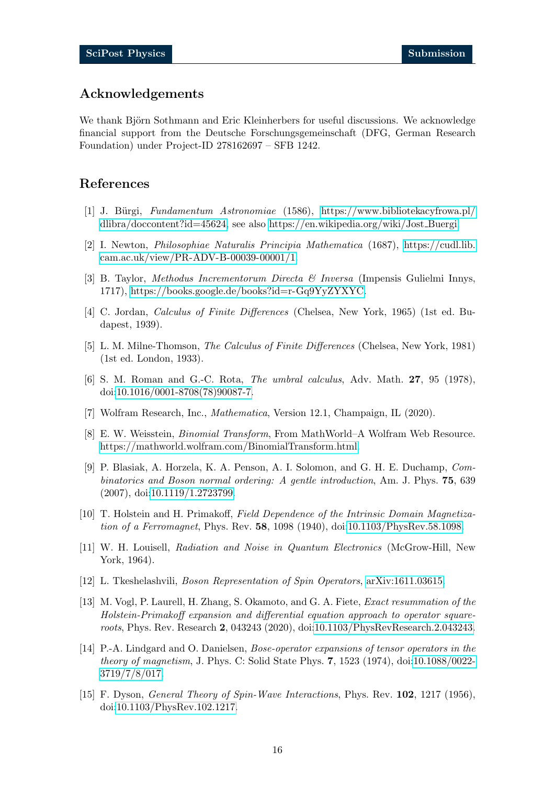# Acknowledgements

We thank Björn Sothmann and Eric Kleinherbers for useful discussions. We acknowledge financial support from the Deutsche Forschungsgemeinschaft (DFG, German Research Foundation) under Project-ID 278162697 – SFB 1242.

### References

- <span id="page-15-0"></span>[1] J. Bürgi, Fundamentum Astronomiae (1586), [https://www.bibliotekacyfrowa.pl/](https://www.bibliotekacyfrowa.pl/dlibra/doccontent?id=45624) [dlibra/doccontent?id=45624,](https://www.bibliotekacyfrowa.pl/dlibra/doccontent?id=45624) see also [https://en.wikipedia.org/wiki/Jost](https://en.wikipedia.org/wiki/Jost_Buergi) Buergi.
- <span id="page-15-1"></span>[2] I. Newton, Philosophiae Naturalis Principia Mathematica (1687), [https://cudl.lib.](https://cudl.lib.cam.ac.uk/view/PR-ADV-B-00039-00001/1) [cam.ac.uk/view/PR-ADV-B-00039-00001/1.](https://cudl.lib.cam.ac.uk/view/PR-ADV-B-00039-00001/1)
- <span id="page-15-2"></span>[3] B. Taylor, Methodus Incrementorum Directa & Inversa (Impensis Gulielmi Innys, 1717), [https://books.google.de/books?id=r-Gq9YyZYXYC.](https://books.google.de/books?id=r-Gq9YyZYXYC)
- <span id="page-15-3"></span>[4] C. Jordan, Calculus of Finite Differences (Chelsea, New York, 1965) (1st ed. Budapest, 1939).
- <span id="page-15-4"></span>[5] L. M. Milne-Thomson, The Calculus of Finite Differences (Chelsea, New York, 1981) (1st ed. London, 1933).
- <span id="page-15-5"></span>[6] S. M. Roman and G.-C. Rota, The umbral calculus, Adv. Math. 27, 95 (1978), doi[:10.1016/0001-8708\(78\)90087-7.](https://doi.org/10.1016/0001-8708(78)90087-7)
- <span id="page-15-6"></span>[7] Wolfram Research, Inc., Mathematica, Version 12.1, Champaign, IL (2020).
- <span id="page-15-7"></span>[8] E. W. Weisstein, Binomial Transform, From MathWorld–A Wolfram Web Resource. [https://mathworld.wolfram.com/BinomialTransform.html.](https://mathworld.wolfram.com/BinomialTransform.html)
- <span id="page-15-8"></span>[9] P. Blasiak, A. Horzela, K. A. Penson, A. I. Solomon, and G. H. E. Duchamp, Combinatorics and Boson normal ordering: A gentle introduction, Am. J. Phys. 75, 639 (2007), doi[:10.1119/1.2723799.](https://doi.org/10.1119/1.2723799)
- <span id="page-15-9"></span>[10] T. Holstein and H. Primakoff, Field Dependence of the Intrinsic Domain Magnetization of a Ferromagnet, Phys. Rev. 58, 1098 (1940), doi[:10.1103/PhysRev.58.1098.](https://doi.org/10.1103/PhysRev.58.1098)
- <span id="page-15-10"></span>[11] W. H. Louisell, Radiation and Noise in Quantum Electronics (McGrow-Hill, New York, 1964).
- <span id="page-15-11"></span>[12] L. Tkeshelashvili, Boson Representation of Spin Operators, [arXiv:1611.03615.](https://arxiv.org/abs/1611.03615)
- <span id="page-15-12"></span>[13] M. Vogl, P. Laurell, H. Zhang, S. Okamoto, and G. A. Fiete, Exact resummation of the Holstein-Primakoff expansion and differential equation approach to operator squareroots, Phys. Rev. Research 2, 043243 (2020), doi[:10.1103/PhysRevResearch.2.043243.](https://doi.org/10.1103/PhysRevResearch.2.043243)
- <span id="page-15-13"></span>[14] P.-A. Lindgard and O. Danielsen, Bose-operator expansions of tensor operators in the theory of magnetism, J. Phys. C: Solid State Phys. 7, 1523 (1974), doi[:10.1088/0022-](https://doi.org/10.1088/0022-3719/7/8/017) [3719/7/8/017.](https://doi.org/10.1088/0022-3719/7/8/017)
- <span id="page-15-14"></span>[15] F. Dyson, General Theory of Spin-Wave Interactions, Phys. Rev. 102, 1217 (1956), doi[:10.1103/PhysRev.102.1217.](https://doi.org/10.1103/PhysRev.102.1217)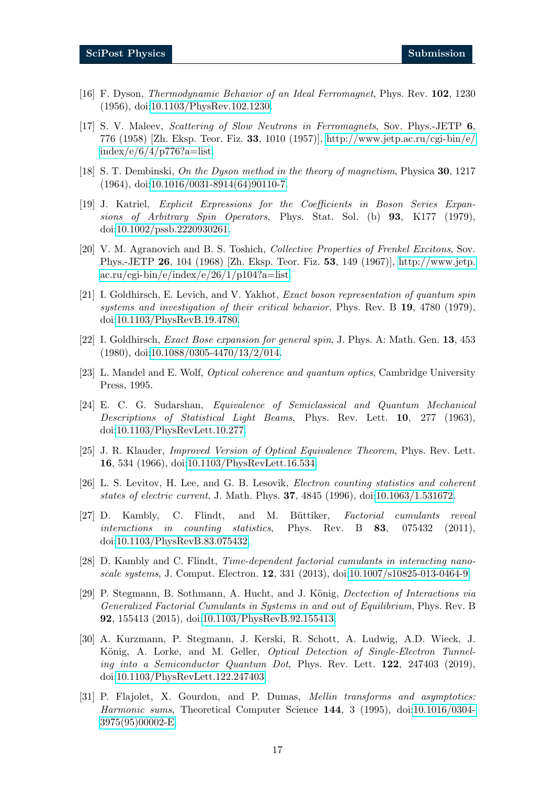- [16] F. Dyson, Thermodynamic Behavior of an Ideal Ferromagnet, Phys. Rev. 102, 1230 (1956), doi[:10.1103/PhysRev.102.1230.](https://doi.org/10.1103/PhysRev.102.1230)
- <span id="page-16-0"></span>[17] S. V. Maleev, Scattering of Slow Neutrons in Ferromagnets, Sov. Phys.-JETP 6, 776 (1958) [Zh. Eksp. Teor. Fiz. 33, 1010 (1957)], [http://www.jetp.ac.ru/cgi-bin/e/](http://www.jetp.ac.ru/cgi-bin/e/index/e/6/4/p776?a=list)  $index/e/6/4/p776?a=list.$
- <span id="page-16-1"></span>[18] S. T. Dembinski, On the Dyson method in the theory of magnetism, Physica 30, 1217 (1964), doi[:10.1016/0031-8914\(64\)90110-7.](https://doi.org/10.1016/0031-8914(64)90110-7)
- <span id="page-16-2"></span>[19] J. Katriel, Explicit Expressions for the Coefficients in Boson Series Expansions of Arbitrary Spin Operators, Phys. Stat. Sol. (b) 93, K177 (1979), doi[:10.1002/pssb.2220930261.](https://doi.org/10.1002/pssb.2220930261)
- [20] V. M. Agranovich and B. S. Toshich, *Collective Properties of Frenkel Excitons*, Sov. Phys.-JETP 26, 104 (1968) [Zh. Eksp. Teor. Fiz. 53, 149 (1967)], [http://www.jetp.](http://www.jetp.ac.ru/cgi-bin/e/index/e/26/1/p104?a=list)  $\arctan\sqrt{egi\cdot\sin/e}/\text{index}/e/26/1/p104?a=\text{list}.$
- [21] I. Goldhirsch, E. Levich, and V. Yakhot, Exact boson representation of quantum spin systems and investigation of their critical behavior, Phys. Rev. B 19, 4780 (1979), doi[:10.1103/PhysRevB.19.4780.](https://doi.org/10.1103/PhysRevB.19.4780)
- <span id="page-16-3"></span>[22] I. Goldhirsch, Exact Bose expansion for general spin, J. Phys. A: Math. Gen. 13, 453 (1980), doi[:10.1088/0305-4470/13/2/014.](https://doi.org/10.1088/0305-4470/13/2/014)
- <span id="page-16-4"></span>[23] L. Mandel and E. Wolf, Optical coherence and quantum optics, Cambridge University Press, 1995.
- <span id="page-16-5"></span>[24] E. C. G. Sudarshan, Equivalence of Semiclassical and Quantum Mechanical Descriptions of Statistical Light Beams, Phys. Rev. Lett. 10, 277 (1963), doi[:10.1103/PhysRevLett.10.277.](https://doi.org/10.1103/PhysRevLett.10.277)
- <span id="page-16-6"></span>[25] J. R. Klauder, Improved Version of Optical Equivalence Theorem, Phys. Rev. Lett. 16, 534 (1966), doi[:10.1103/PhysRevLett.16.534.](https://doi.org/10.1103/PhysRevLett.16.534)
- <span id="page-16-7"></span>[26] L. S. Levitov, H. Lee, and G. B. Lesovik, Electron counting statistics and coherent states of electric current, J. Math. Phys. 37, 4845 (1996), doi[:10.1063/1.531672.](https://doi.org/10.1063/1.531672)
- <span id="page-16-8"></span>[27] D. Kambly, C. Flindt, and M. Büttiker, *Factorial cumulants reveal* interactions in counting statistics, Phys. Rev. B 83, 075432 (2011), doi[:10.1103/PhysRevB.83.075432.](https://doi.org/10.1103/PhysRevB.83.075432)
- [28] D. Kambly and C. Flindt, Time-dependent factorial cumulants in interacting nanoscale systems, J. Comput. Electron. 12, 331 (2013), doi[:10.1007/s10825-013-0464-9.](https://doi.org/10.1007/s10825-013-0464-9)
- <span id="page-16-9"></span>[29] P. Stegmann, B. Sothmann, A. Hucht, and J. König, *Dectection of Interactions via* Generalized Factorial Cumulants in Systems in and out of Equilibrium, Phys. Rev. B 92, 155413 (2015), doi[:10.1103/PhysRevB.92.155413.](https://doi.org/10.1103/PhysRevB.92.155413)
- <span id="page-16-10"></span>[30] A. Kurzmann, P. Stegmann, J. Kerski, R. Schott, A. Ludwig, A.D. Wieck, J. König, A. Lorke, and M. Geller, *Optical Detection of Single-Electron Tunnel*ing into a Semiconductor Quantum Dot, Phys. Rev. Lett. 122, 247403 (2019), doi[:10.1103/PhysRevLett.122.247403.](https://doi.org/10.1103/PhysRevLett.122.247403)
- <span id="page-16-11"></span>[31] P. Flajolet, X. Gourdon, and P. Dumas, Mellin transforms and asymptotics: Harmonic sums, Theoretical Computer Science 144, 3 (1995), doi[:10.1016/0304-](https://doi.org/10.1016/0304-3975(95)00002-E) [3975\(95\)00002-E.](https://doi.org/10.1016/0304-3975(95)00002-E)